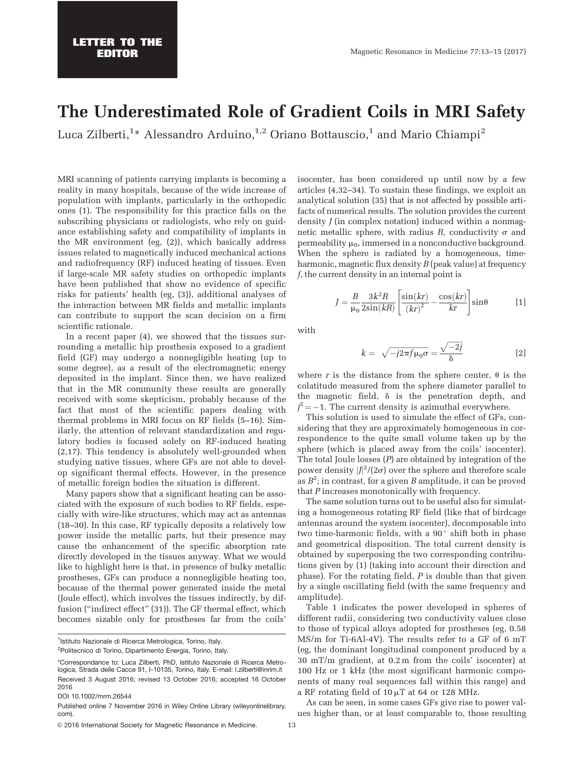## The Underestimated Role of Gradient Coils in MRI Safety

Luca Zilberti, $^{1\ast}$  Alessandro Arduino, $^{1,2}$  Oriano Bottauscio, $^{1}$  and Mario Chiampi $^{2}$ 

MRI scanning of patients carrying implants is becoming a reality in many hospitals, because of the wide increase of population with implants, particularly in the orthopedic ones (1). The responsibility for this practice falls on the subscribing physicians or radiologists, who rely on guidance establishing safety and compatibility of implants in the MR environment (eg, (2)), which basically address issues related to magnetically induced mechanical actions and radiofrequency (RF) induced heating of tissues. Even if large-scale MR safety studies on orthopedic implants have been published that show no evidence of specific risks for patients' health (eg, (3)), additional analyses of the interaction between MR fields and metallic implants can contribute to support the scan decision on a firm scientific rationale.

In a recent paper (4), we showed that the tissues surrounding a metallic hip prosthesis exposed to a gradient field (GF) may undergo a nonnegligible heating (up to some degree), as a result of the electromagnetic energy deposited in the implant. Since then, we have realized that in the MR community these results are generally received with some skepticism, probably because of the fact that most of the scientific papers dealing with thermal problems in MRI focus on RF fields (5–16). Similarly, the attention of relevant standardization and regulatory bodies is focused solely on RF-induced heating (2,17). This tendency is absolutely well-grounded when studying native tissues, where GFs are not able to develop significant thermal effects. However, in the presence of metallic foreign bodies the situation is different.

Many papers show that a significant heating can be associated with the exposure of such bodies to RF fields, especially with wire-like structures, which may act as antennas (18–30). In this case, RF typically deposits a relatively low power inside the metallic parts, but their presence may cause the enhancement of the specific absorption rate directly developed in the tissues anyway. What we would like to highlight here is that, in presence of bulky metallic prostheses, GFs can produce a nonnegligible heating too, because of the thermal power generated inside the metal (Joule effect), which involves the tissues indirectly, by diffusion ("indirect effect" (31)). The GF thermal effect, which becomes sizable only for prostheses far from the coils'

<sup>1</sup>Istituto Nazionale di Ricerca Metrologica, Torino, Italy.

© 2016 International Society for Magnetic Resonance in Medicine. 43

isocenter, has been considered up until now by a few articles (4,32–34). To sustain these findings, we exploit an analytical solution (35) that is not affected by possible artifacts of numerical results. The solution provides the current density *J* (in complex notation) induced within a nonmagnetic metallic sphere, with radius  $R$ , conductivity  $\sigma$  and permeability  $\mu_0$ , immersed in a nonconductive background. When the sphere is radiated by a homogeneous, timeharmonic, magnetic flux density *B* (peak value) at frequency f, the current density in an internal point is

$$
J = \frac{B}{\mu_0} \frac{3k^2 R}{2\sin(kR)} \left[ \frac{\sin(kr)}{(kr)^2} - \frac{\cos(kr)}{kr} \right] \sin\theta \qquad [1]
$$

with

$$
k = \sqrt{-j2\pi f \mu_0 \sigma} = \frac{\sqrt{-2j}}{\delta} \tag{2}
$$

where r is the distance from the sphere center,  $\theta$  is the colatitude measured from the sphere diameter parallel to the magnetic field,  $\delta$  is the penetration depth, and  $j^2 = -1$ . The current density is azimuthal everywhere.

This solution is used to simulate the effect of GFs, considering that they are approximately homogeneous in correspondence to the quite small volume taken up by the sphere (which is placed away from the coils' isocenter). The total Joule losses (P) are obtained by integration of the power density  $|J|^2/(2\sigma)$  over the sphere and therefore scale as  $B^2$ ; in contrast, for a given B amplitude, it can be proved that P increases monotonically with frequency.

The same solution turns out to be useful also for simulating a homogeneous rotating RF field (like that of birdcage antennas around the system isocenter), decomposable into two time-harmonic fields, with a  $90^\circ$  shift both in phase and geometrical disposition. The total current density is obtained by superposing the two corresponding contributions given by (1) (taking into account their direction and phase). For the rotating field, P is double than that given by a single oscillating field (with the same frequency and amplitude).

Table 1 indicates the power developed in spheres of different radii, considering two conductivity values close to those of typical alloys adopted for prostheses (eg, 0.58 MS/m for Ti-6Al-4V). The results refer to a GF of 6 mT (eg, the dominant longitudinal component produced by a 30 mT/m gradient, at 0.2 m from the coils' isocenter) at 100 Hz or 1 kHz (the most significant harmonic components of many real sequences fall within this range) and a RF rotating field of  $10 \mu T$  at 64 or 128 MHz.

As can be seen, in some cases GFs give rise to power values higher than, or at least comparable to, those resulting

<sup>&</sup>lt;sup>2</sup>Politecnico di Torino, Dipartimento Energia, Torino, Italy.

<sup>\*</sup>Correspondance to: Luca Zilberti, PhD, Istituto Nazionale di Ricerca Metrologica, Strada delle Cacce 91, I-10135, Torino, Italy. E-mail: l.zilberti@inrim.it Received 3 August 2016; revised 13 October 2016; accepted 16 October 2016

DOI 10.1002/mrm.26544

Published online 7 November 2016 in Wiley Online Library (wileyonlinelibrary. com).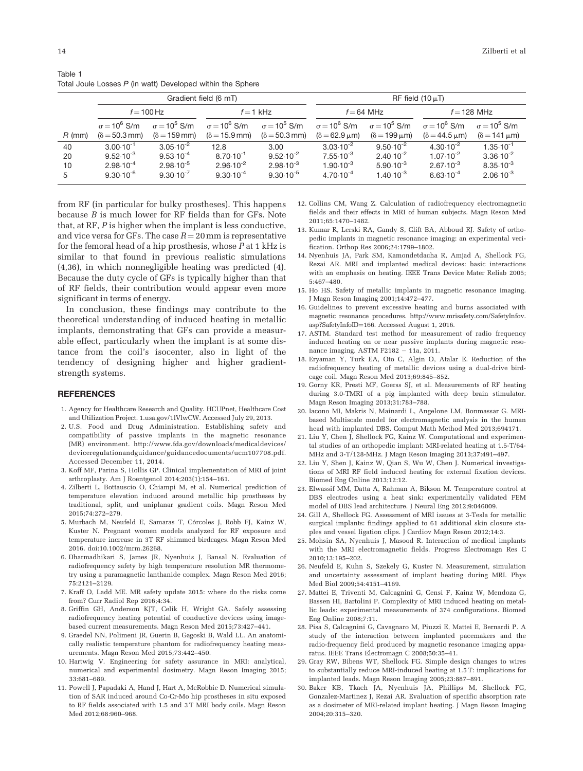|          | Gradient field (6 mT)          |                             |                                |                              | RF field $(10 \mu T)$          |                          |                                      |                          |
|----------|--------------------------------|-----------------------------|--------------------------------|------------------------------|--------------------------------|--------------------------|--------------------------------------|--------------------------|
|          | $f = 100$ Hz                   |                             | $f = 1$ kHz                    |                              | $f = 64$ MHz                   |                          | $f = 128$ MHz                        |                          |
|          | $\sigma$ = 10 <sup>6</sup> S/m | $\sigma = 10^5$ S/m         | $\sigma$ = 10 <sup>6</sup> S/m | $\sigma = 10^5$ S/m          | $\sigma$ = 10 <sup>6</sup> S/m | $\sigma = 10^5$ S/m      | $\sigma$ = 10 <sup>6</sup> S/m       | $\sigma = 10^5$ S/m      |
| $R$ (mm) | $(\delta = 50.3 \text{ mm})$   | $(\delta = 159 \text{ mm})$ | $(\delta = 15.9$ mm)           | $(\delta = 50.3 \text{ mm})$ | $(\delta = 62.9 \,\mu m)$      | $(\delta = 199 \,\mu m)$ | $(\delta = 44.5 \,\mathrm{\upmu m})$ | $(\delta = 141 \,\mu m)$ |
| 40       | $3.00 \cdot 10^{-1}$           | $3.05 \cdot 10^{-2}$        | 12.8                           | 3.00                         | $3.03 \cdot 10^{-2}$           | $9.50 \cdot 10^{-2}$     | $4.30 \cdot 10^{-2}$                 | $1.35 \cdot 10^{-1}$     |
| 20       | $9.52 \cdot 10^{-3}$           | $9.53 \cdot 10^{-4}$        | $8.70 \cdot 10^{-1}$           | $9.52 \cdot 10^{-2}$         | $7.55 \cdot 10^{-3}$           | $2.40 \cdot 10^{-2}$     | $1.07 \cdot 10^{-2}$                 | $3.36 \cdot 10^{-2}$     |
| 10       | $2.98 \cdot 10^{-4}$           | $2.98 \cdot 10^{-5}$        | $2.96 \cdot 10^{-2}$           | $2.98 \cdot 10^{-3}$         | $1.90 \cdot 10^{-3}$           | $5.90 \cdot 10^{-3}$     | $2.67 \cdot 10^{-3}$                 | $8.35 \cdot 10^{-3}$     |
| 5        | $9.30 \cdot 10^{-6}$           | $9.30 \cdot 10^{-7}$        | $9.30 \cdot 10^{-4}$           | $9.30 \cdot 10^{-5}$         | $4.70 \cdot 10^{-4}$           | $1.40 \cdot 10^{-3}$     | $6.63 \cdot 10^{-4}$                 | $2.06 \cdot 10^{-3}$     |

Table 1 Total Joule Losses P (in watt) Developed within the Sphere

from RF (in particular for bulky prostheses). This happens because B is much lower for RF fields than for GFs. Note that, at RF, P is higher when the implant is less conductive, and vice versa for GFs. The case  $R = 20$  mm is representative for the femoral head of a hip prosthesis, whose  $P$  at 1 kHz is similar to that found in previous realistic simulations (4,36), in which nonnegligible heating was predicted (4). Because the duty cycle of GFs is typically higher than that of RF fields, their contribution would appear even more significant in terms of energy.

In conclusion, these findings may contribute to the theoretical understanding of induced heating in metallic implants, demonstrating that GFs can provide a measurable effect, particularly when the implant is at some distance from the coil's isocenter, also in light of the tendency of designing higher and higher gradientstrength systems.

## **REFERENCES**

- 1. Agency for Healthcare Research and Quality. HCUPnet, Healthcare Cost and Utilization Project. [1.usa.gov/1lVlwCW](http://1.usa.gov/1lVlwCW). Accessed July 29, 2013.
- 2. U.S. Food and Drug Administration. Establishing safety and compatibility of passive implants in the magnetic resonance (MR) environment. [http://www.fda.gov/downloads/medicaldevices/](http://www.fda.gov/downloads/medicaldevices/deviceregulationandguidance/guidancedocuments/ucm107708.pdf) [deviceregulationandguidance/guidancedocuments/ucm107708.pdf](http://www.fda.gov/downloads/medicaldevices/deviceregulationandguidance/guidancedocuments/ucm107708.pdf). Accessed December 11, 2014.
- 3. Koff MF, Parina S, Hollis GP. Clinical implementation of MRI of joint arthroplasty. Am J Roentgenol 2014;203(1):154–161.
- 4. Zilberti L, Bottauscio O, Chiampi M, et al. Numerical prediction of temperature elevation induced around metallic hip prostheses by traditional, split, and uniplanar gradient coils. Magn Reson Med 2015;74:272–279.
- 5. Murbach M, Neufeld E, Samaras T, Córcoles J, Robb FJ, Kainz W, Kuster N. Pregnant women models analyzed for RF exposure and temperature increase in 3T RF shimmed birdcages. Magn Reson Med 2016. doi[:10.1002/mrm.26268.](info:doi/10.1002/mrm.26268)
- 6. Dharmadhikari S, James JR, Nyenhuis J, Bansal N. Evaluation of radiofrequency safety by high temperature resolution MR thermometry using a paramagnetic lanthanide complex. Magn Reson Med 2016; 75:2121–2129.
- 7. Kraff O, Ladd ME. MR safety update 2015: where do the risks come from? Curr Radiol Rep 2016;4:34.
- 8. Griffin GH, Anderson KJT, Celik H, Wright GA. Safely assessing radiofrequency heating potential of conductive devices using imagebased current measurements. Magn Reson Med 2015;73:427–441.
- 9. Graedel NN, Polimeni JR, Guerin B, Gagoski B, Wald LL. An anatomically realistic temperature phantom for radiofrequency heating measurements. Magn Reson Med 2015;73:442–450.
- 10. Hartwig V. Engineering for safety assurance in MRI: analytical, numerical and experimental dosimetry. Magn Reson Imaging 2015; 33:681–689.
- 11. Powell J, Papadaki A, Hand J, Hart A, McRobbie D. Numerical simulation of SAR induced around Co-Cr-Mo hip prostheses in situ exposed to RF fields associated with 1.5 and 3 T MRI body coils. Magn Reson Med 2012;68:960–968.
- 12. Collins CM, Wang Z. Calculation of radiofrequency electromagnetic fields and their effects in MRI of human subjects. Magn Reson Med 2011;65:1470–1482.
- 13. Kumar R, Lerski RA, Gandy S, Clift BA, Abboud RJ. Safety of orthopedic implants in magnetic resonance imaging: an experimental verification. Orthop Res 2006;24:1799–1802.
- 14. Nyenhuis JA, Park SM, Kamondetdacha R, Amjad A, Shellock FG, Rezai AR. MRI and implanted medical devices: basic interactions with an emphasis on heating. IEEE Trans Device Mater Reliab 2005; 5:467–480.
- 15. Ho HS. Safety of metallic implants in magnetic resonance imaging. J Magn Reson Imaging 2001;14:472–477.
- 16. Guidelines to prevent excessive heating and burns associated with magnetic resonance procedures. [http://www.mrisafety.com/SafetyInfov.](http://www.mrisafety.com/SafetyInfov.asp?SafetyInfoID=166) [asp?SafetyInfoID](http://www.mrisafety.com/SafetyInfov.asp?SafetyInfoID=166)=[166](http://www.mrisafety.com/SafetyInfov.asp?SafetyInfoID=166). Accessed August 1, 2016.
- 17. ASTM. Standard test method for measurement of radio frequency induced heating on or near passive implants during magnetic resonance imaging. ASTM F2182 - 11a, 2011.
- 18. Eryaman Y, Turk EA, Oto C, Algin O, Atalar E. Reduction of the radiofrequency heating of metallic devices using a dual-drive birdcage coil. Magn Reson Med 2013;69:845–852.
- 19. Gorny KR, Presti MF, Goerss SJ, et al. Measurements of RF heating during 3.0-TMRI of a pig implanted with deep brain stimulator. Magn Reson Imaging 2013;31:783–788.
- 20. Iacono MI, Makris N, Mainardi L, Angelone LM, Bonmassar G. MRIbased Multiscale model for electromagnetic analysis in the human head with implanted DBS. Comput Math Method Med 2013;694171.
- 21. Liu Y, Chen J, Shellock FG, Kainz W. Computational and experimental studies of an orthopedic implant: MRI-related heating at 1.5-T/64- MHz and 3-T/128-MHz. J Magn Reson Imaging 2013;37:491–497.
- 22. Liu Y, Shen J, Kainz W, Qian S, Wu W, Chen J. Numerical investigations of MRI RF field induced heating for external fixation devices. Biomed Eng Online 2013;12:12.
- 23. Elwassif MM, Datta A, Rahman A, Bikson M. Temperature control at DBS electrodes using a heat sink: experimentally validated FEM model of DBS lead architecture. J Neural Eng 2012;9:046009.
- 24. Gill A, Shellock FG. Assessment of MRI issues at 3-Tesla for metallic surgical implants: findings applied to 61 additional skin closure staples and vessel ligation clips. J Cardiov Magn Reson 2012;14:3.
- 25. Mohsin SA, Nyenhuis J, Masood R. Interaction of medical implants with the MRI electromagnetic fields. Progress Electromagn Res C 2010;13:195–202.
- 26. Neufeld E, Kuhn S, Szekely G, Kuster N. Measurement, simulation and uncertainty assessment of implant heating during MRI. Phys Med Biol 2009;54:4151–4169.
- 27. Mattei E, Triventi M, Calcagnini G, Censi F, Kainz W, Mendoza G, Bassen HI, Bartolini P. Complexity of MRI induced heating on metallic leads: experimental measurements of 374 configurations. Biomed Eng Online 2008;7:11.
- 28. Pisa S, Calcagnini G, Cavagnaro M, Piuzzi E, Mattei E, Bernardi P. A study of the interaction between implanted pacemakers and the radio-frequency field produced by magnetic resonance imaging apparatus. IEEE Trans Electromagn C 2008;50:35–41.
- 29. Gray RW, Bibens WT, Shellock FG. Simple design changes to wires to substantially reduce MRI-induced heating at 1.5 T: implications for implanted leads. Magn Reson Imaging 2005;23:887–891.
- 30. Baker KB, Tkach JA, Nyenhuis JA, Phillips M, Shellock FG, Gonzalez-Martinez J, Rezai AR. Evaluation of specific absorption rate as a dosimeter of MRI-related implant heating. J Magn Reson Imaging 2004;20:315–320.